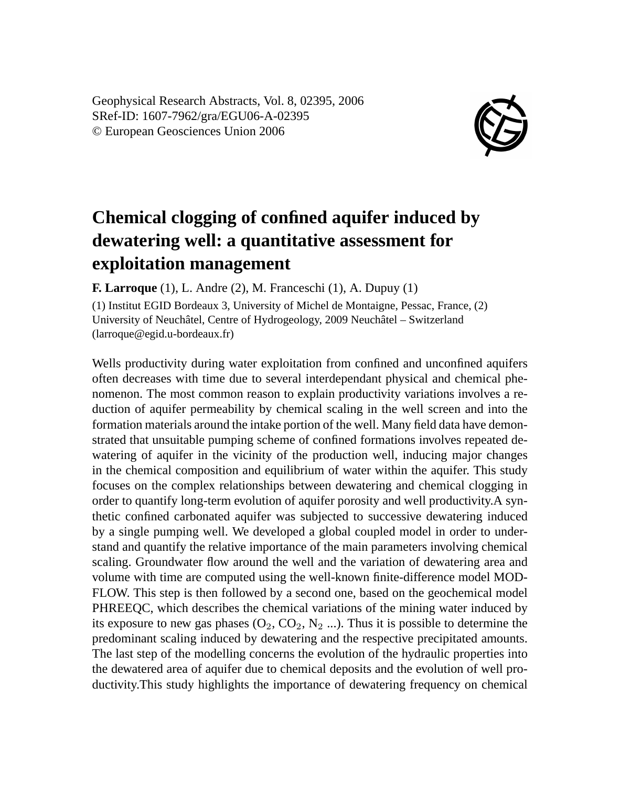Geophysical Research Abstracts, Vol. 8, 02395, 2006 SRef-ID: 1607-7962/gra/EGU06-A-02395 © European Geosciences Union 2006



## **Chemical clogging of confined aquifer induced by dewatering well: a quantitative assessment for exploitation management**

**F. Larroque** (1), L. Andre (2), M. Franceschi (1), A. Dupuy (1)

(1) Institut EGID Bordeaux 3, University of Michel de Montaigne, Pessac, France, (2) University of Neuchâtel, Centre of Hydrogeology, 2009 Neuchâtel – Switzerland (larroque@egid.u-bordeaux.fr)

Wells productivity during water exploitation from confined and unconfined aquifers often decreases with time due to several interdependant physical and chemical phenomenon. The most common reason to explain productivity variations involves a reduction of aquifer permeability by chemical scaling in the well screen and into the formation materials around the intake portion of the well. Many field data have demonstrated that unsuitable pumping scheme of confined formations involves repeated dewatering of aquifer in the vicinity of the production well, inducing major changes in the chemical composition and equilibrium of water within the aquifer. This study focuses on the complex relationships between dewatering and chemical clogging in order to quantify long-term evolution of aquifer porosity and well productivity.A synthetic confined carbonated aquifer was subjected to successive dewatering induced by a single pumping well. We developed a global coupled model in order to understand and quantify the relative importance of the main parameters involving chemical scaling. Groundwater flow around the well and the variation of dewatering area and volume with time are computed using the well-known finite-difference model MOD-FLOW. This step is then followed by a second one, based on the geochemical model PHREEQC, which describes the chemical variations of the mining water induced by its exposure to new gas phases  $(O_2, CO_2, N_2 ...)$ . Thus it is possible to determine the predominant scaling induced by dewatering and the respective precipitated amounts. The last step of the modelling concerns the evolution of the hydraulic properties into the dewatered area of aquifer due to chemical deposits and the evolution of well productivity.This study highlights the importance of dewatering frequency on chemical